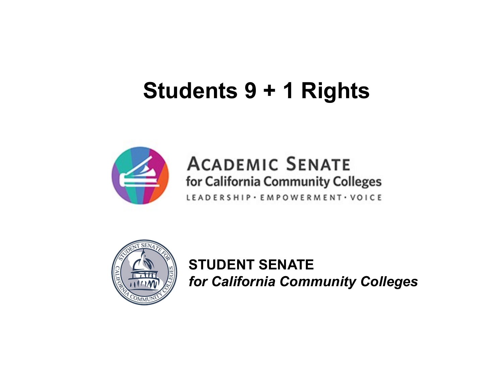# **Students 9 + 1 Rights**



#### **ACADEMIC SENATE** for California Community Colleges

LEADERSHIP · EMPOWERMENT · VOICE



**STUDENT SENATE** *for California Community Colleges*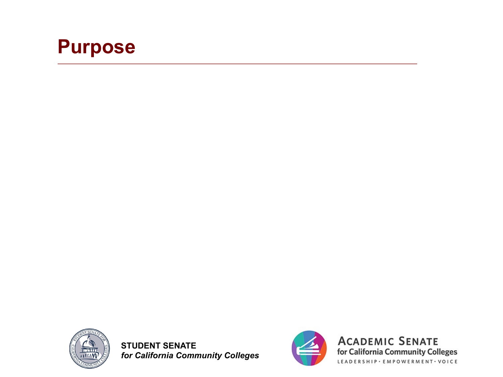



**STUDENT SENATE** *for California Community Colleges*



**ACADEMIC SENATE** for California Community Colleges LEADERSHIP · EMPOWERMENT · VOICE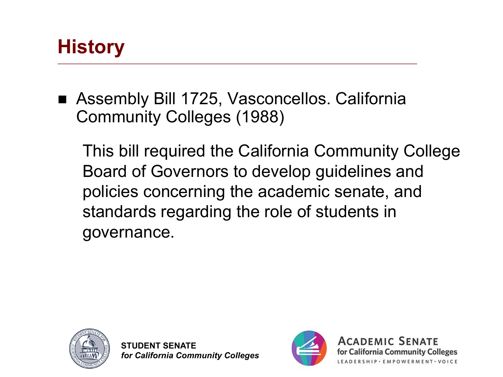#### **History**

■ Assembly Bill 1725, Vasconcellos. California Community Colleges (1988)

This bill required the California Community College Board of Governors to develop guidelines and policies concerning the academic senate, and standards regarding the role of students in governance.



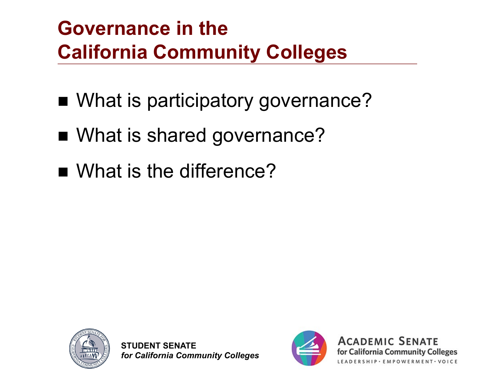# **Governance in the California Community Colleges**

- What is participatory governance?
- What is shared governance?
- What is the difference?



**STUDENT SENATE** *for California Community Colleges*



**ACADEMIC SENATE** 

for California Community Colleges

SHIP · EMPOWERMENT · VOICE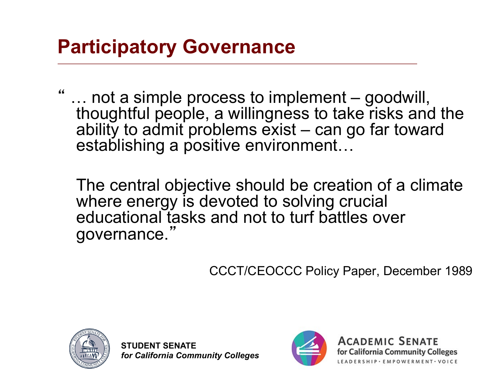#### **Participatory Governance**

... not a simple process to implement – goodwill, thoughtful people, a willingness to take risks and the ability to admit problems exist – can go far toward establishing a positive environment…

The central objective should be creation of a climate where energy is devoted to solving crucial educational tasks and not to turf battles over governance. "

CCCT/CEOCCC Policy Paper, December 1989



**STUDENT SENATE** *for California Community Colleges*



**ACADEMIC SENATE** for California Community Colleges SHIP · EMPOWERMENT · VOICE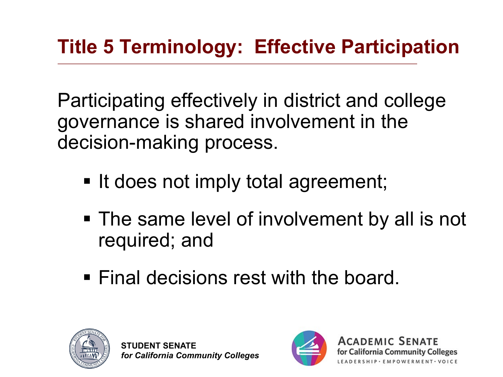Participating effectively in district and college governance is shared involvement in the decision-making process.

- It does not imply total agreement;
- The same level of involvement by all is not required; and
- Final decisions rest with the board.



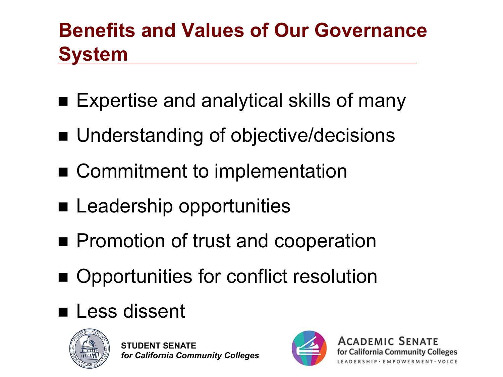# **Benefits and Values of Our Governance System**

- Expertise and analytical skills of many
- Understanding of objective/decisions
- Commitment to implementation
- **E** Leadership opportunities
- **n** Promotion of trust and cooperation
- Opportunities for conflict resolution
- **n** Less dissent



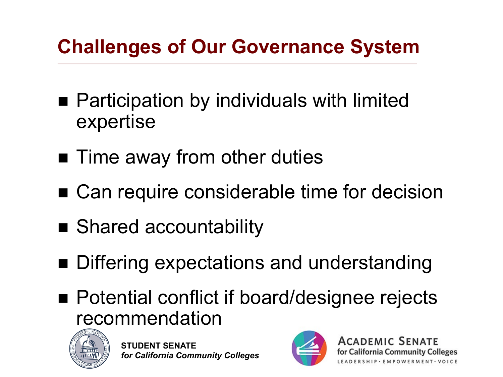# **Challenges of Our Governance System**

- $\blacksquare$  Participation by individuals with limited expertise
- $\blacksquare$  Time away from other duties
- Can require considerable time for decision
- Shared accountability
- Differing expectations and understanding
- Potential conflict if board/designee rejects recommendation



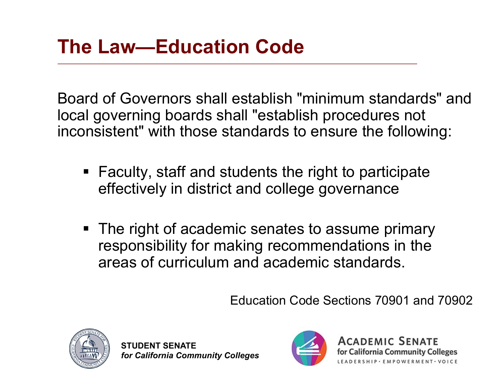Board of Governors shall establish "minimum standards" and local governing boards shall "establish procedures not inconsistent" with those standards to ensure the following:

- Faculty, staff and students the right to participate effectively in district and college governance
- The right of academic senates to assume primary responsibility for making recommendations in the areas of curriculum and academic standards.

Education Code Sections 70901 and 70902



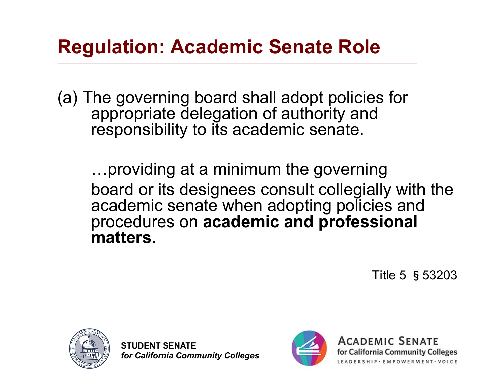#### **Regulation: Academic Senate Role**

(a) The governing board shall adopt policies for appropriate delegation of authority and responsibility to its academic senate.

…providing at a minimum the governing board or its designees consult collegially with the academic senate when adopting policies and procedures on **academic and professional matters**.

Title 5 §53203



**STUDENT SENATE** *for California Community Colleges*



**ACADEMIC SENATE** for California Community Colleges RSHIP · EMPOWERMENT · VOICE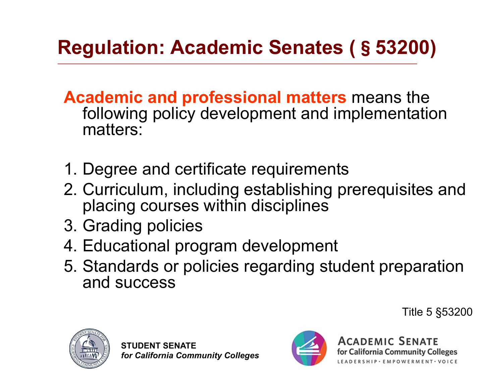# **Regulation: Academic Senates (**§**53200)**

**Academic and professional matters** means the following policy development and implementation matters:

- 1. Degree and certificate requirements
- 2. Curriculum, including establishing prerequisites and placing courses within disciplines
- 3. Grading policies
- 4. Educational program development
- 5. Standards or policies regarding student preparation and success





**ACADEMIC SENATE** for California Community Colleges SHIP · EMPOWERMENT · VOICE

Title 5 §53200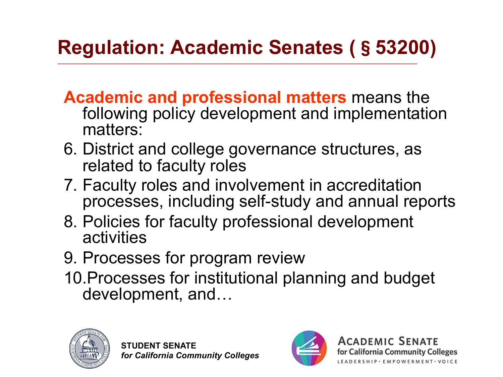# **Regulation: Academic Senates (**§**53200)**

- **Academic and professional matters** means the following policy development and implementation matters:
- 6. District and college governance structures, as related to faculty roles
- 7. Faculty roles and involvement in accreditation processes, including self-study and annual reports
- 8. Policies for faculty professional development activities
- 9. Processes for program review
- 10.Processes for institutional planning and budget development, and…



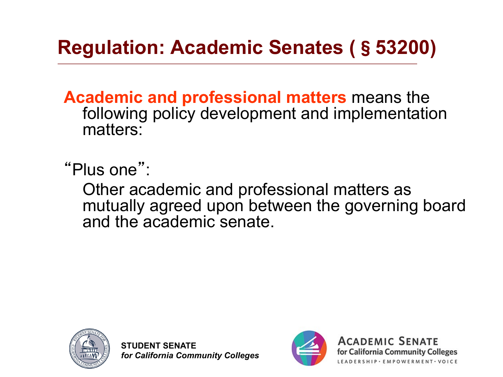# **Regulation: Academic Senates (**§**53200)**

**Academic and professional matters** means the following policy development and implementation matters:

"Plus one" :

Other academic and professional matters as mutually agreed upon between the governing board and the academic senate.



**STUDENT SENATE** *for California Community Colleges*

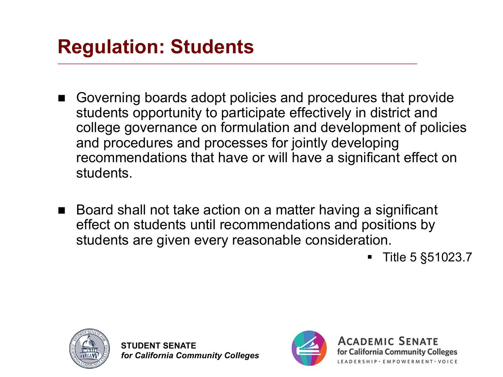### **Regulation: Students**

- Governing boards adopt policies and procedures that provide students opportunity to participate effectively in district and college governance on formulation and development of policies and procedures and processes for jointly developing recommendations that have or will have a significant effect on students.
- Board shall not take action on a matter having a significant effect on students until recommendations and positions by students are given every reasonable consideration.

§ Title 5 §51023.7



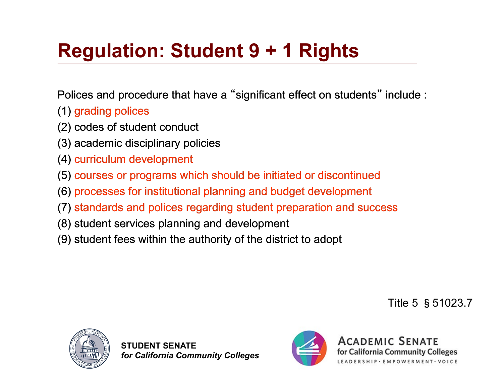# **Regulation: Student 9 + 1 Rights**

Polices and procedure that have a "significant effect on students" include :

- (1) grading polices
- (2) codes of student conduct
- (3) academic disciplinary policies
- (4) curriculum development
- (5) courses or programs which should be initiated or discontinued
- (6) processes for institutional planning and budget development
- (7) standards and polices regarding student preparation and success
- (8) student services planning and development
- (9) student fees within the authority of the district to adopt

Title 5 §51023.7



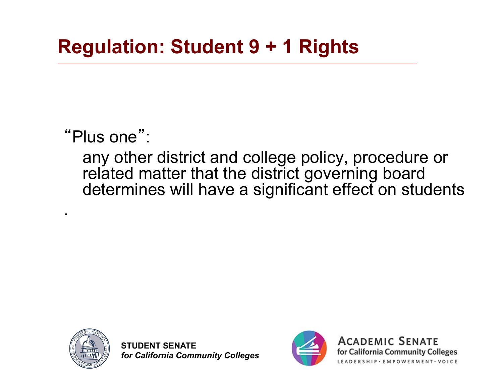"Plus one" :

any other district and college policy, procedure or related matter that the district governing board determines will have a significant effect on students



.

**STUDENT SENATE** *for California Community Colleges*



**ACADEMIC SENATE** for California Community Colleges ERSHIP · EMPOWERMENT · VOICE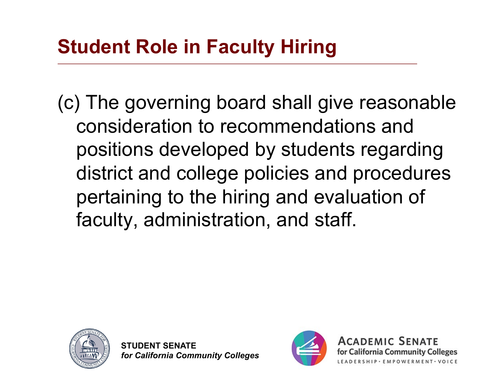(c) The governing board shall give reasonable consideration to recommendations and positions developed by students regarding district and college policies and procedures pertaining to the hiring and evaluation of faculty, administration, and staff.



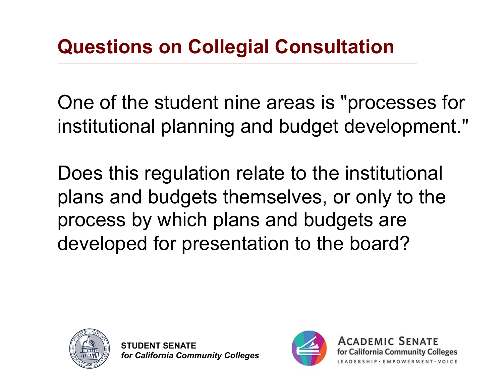One of the student nine areas is "processes for institutional planning and budget development."

Does this regulation relate to the institutional plans and budgets themselves, or only to the process by which plans and budgets are developed for presentation to the board?



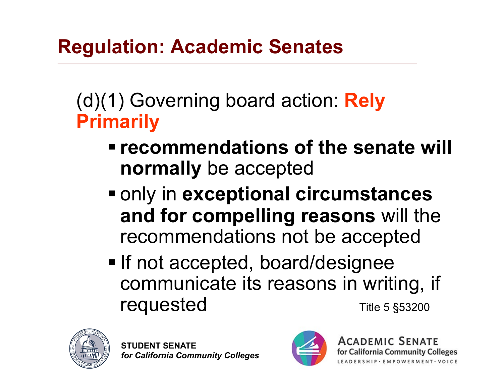#### **Regulation: Academic Senates**

(d)(1) Governing board action: **Rely Primarily**

- **<u>■ recommendations of the senate will</u> normally** be accepted
- only in **exceptional circumstances and for compelling reasons** will the recommendations not be accepted
- If not accepted, board/designee communicate its reasons in writing, if **requested** Title 5 §53200



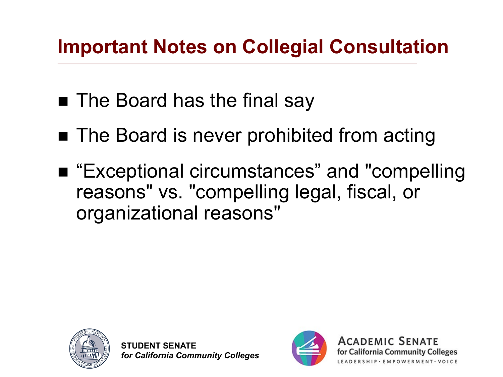## **Important Notes on Collegial Consultation**

- The Board has the final say
- The Board is never prohibited from acting
- "Exceptional circumstances" and "compelling reasons" vs. "compelling legal, fiscal, or organizational reasons"



**STUDENT SENATE** *for California Community Colleges*

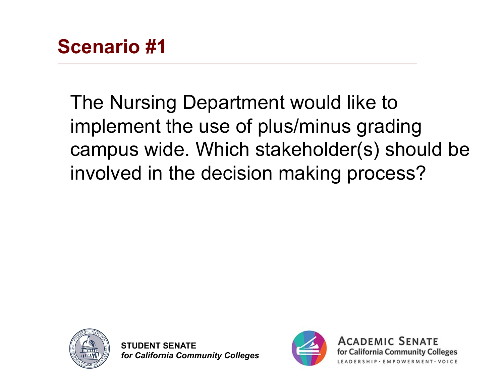The Nursing Department would like to implement the use of plus/minus grading campus wide. Which stakeholder(s) should be involved in the decision making process?



**STUDENT SENATE** *for California Community Colleges*



**ACADEMIC SENATE** for California Community Colleges SHIP · EMPOWERMENT · VOICE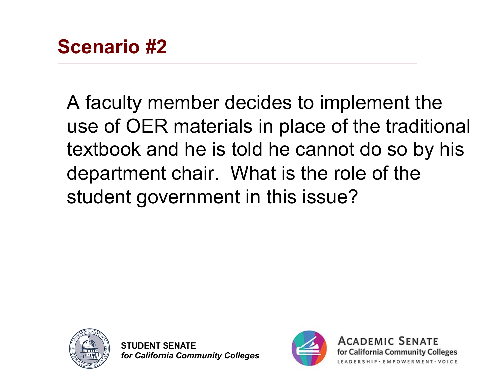A faculty member decides to implement the use of OER materials in place of the traditional textbook and he is told he cannot do so by his department chair. What is the role of the student government in this issue?





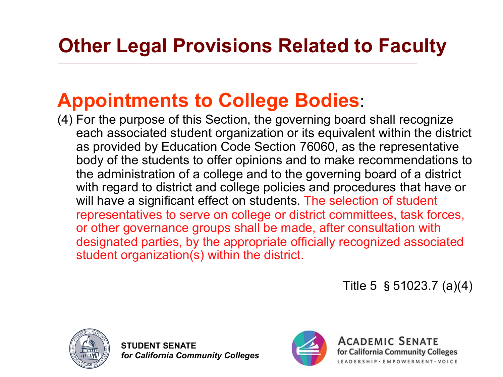# **Other Legal Provisions Related to Faculty**

#### **Appointments to College Bodies**:

(4) For the purpose of this Section, the governing board shall recognize each associated student organization or its equivalent within the district as provided by Education Code Section 76060, as the representative body of the students to offer opinions and to make recommendations to the administration of a college and to the governing board of a district with regard to district and college policies and procedures that have or will have a significant effect on students. The selection of student representatives to serve on college or district committees, task forces, or other governance groups shall be made, after consultation with designated parties, by the appropriate officially recognized associated student organization(s) within the district.

Title 5 §51023.7 (a)(4)



**STUDENT SENATE** *for California Community Colleges*



**ACADEMIC SENATE** for California Community Colleges ERSHIP · EMPOWERMENT · VOICE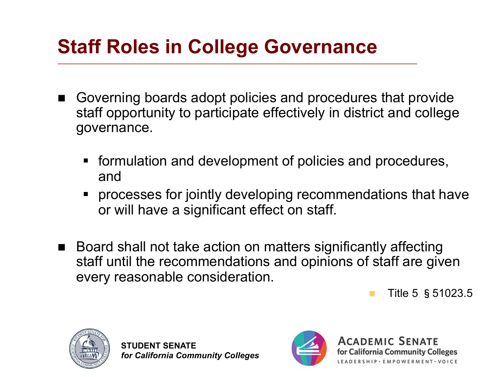### **Staff Roles in College Governance**

- Governing boards adopt policies and procedures that provide staff opportunity to participate effectively in district and college governance.
	- formulation and development of policies and procedures, and
	- § processes for jointly developing recommendations that have or will have a significant effect on staff.
- Board shall not take action on matters significantly affecting staff until the recommendations and opinions of staff are given every reasonable consideration.

Title 5 § 51023.5



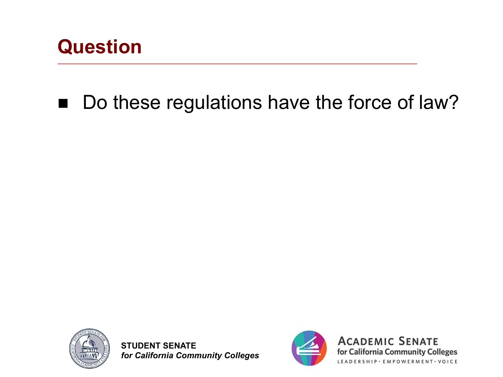

### ■ Do these regulations have the force of law?



**STUDENT SENATE** *for California Community Colleges*



**ACADEMIC SENATE** for California Community Colleges LEADERSHIP · EMPOWERMENT · VOICE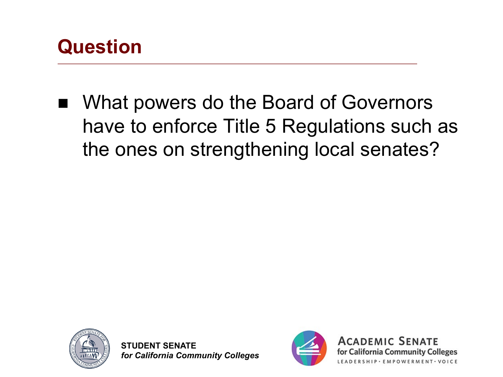

What powers do the Board of Governors have to enforce Title 5 Regulations such as the ones on strengthening local senates?



**STUDENT SENATE** *for California Community Colleges*



**ACADEMIC SENATE** for California Community Colleges ERSHIP · EMPOWERMENT · VOICE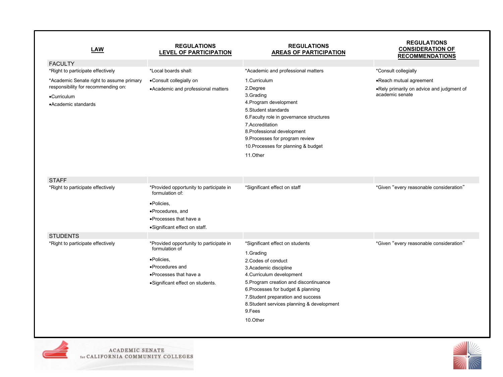| <b>LAW</b>                                                                                                            | <b>REGULATIONS</b><br><b>LEVEL OF PARTICIPATION</b>                                                                                                       | <b>REGULATIONS</b><br><b>AREAS OF PARTICIPATION</b>                                                                                                                                                                                                                                                                  | <b>REGULATIONS</b><br><b>CONSIDERATION OF</b><br><b>RECOMMENDATIONS</b>                 |
|-----------------------------------------------------------------------------------------------------------------------|-----------------------------------------------------------------------------------------------------------------------------------------------------------|----------------------------------------------------------------------------------------------------------------------------------------------------------------------------------------------------------------------------------------------------------------------------------------------------------------------|-----------------------------------------------------------------------------------------|
| <b>FACULTY</b><br>*Right to participate effectively                                                                   | *Local boards shall:                                                                                                                                      | *Academic and professional matters                                                                                                                                                                                                                                                                                   | *Consult collegially                                                                    |
| *Academic Senate right to assume primary<br>responsibility for recommending on:<br>•Curriculum<br>•Academic standards | •Consult collegially on<br>• Academic and professional matters                                                                                            | 1.Curriculum<br>2.Degree<br>3.Grading<br>4. Program development<br>5. Student standards<br>6. Faculty role in governance structures<br>7.Accreditation<br>8. Professional development<br>9. Processes for program review<br>10. Processes for planning & budget<br>11.Other                                          | •Reach mutual agreement<br>.Rely primarily on advice and judgment of<br>academic senate |
| <b>STAFF</b><br>*Right to participate effectively                                                                     | *Provided opportunity to participate in<br>formulation of:<br>·Policies,<br>·Procedures, and<br>• Processes that have a<br>·Significant effect on staff.  | *Significant effect on staff                                                                                                                                                                                                                                                                                         | *Given "every reasonable consideration"                                                 |
| <b>STUDENTS</b><br>*Right to participate effectively                                                                  | *Provided opportunity to participate in<br>formulation of<br>•Policies,<br>•Procedures and<br>• Processes that have a<br>·Significant effect on students. | *Significant effect on students<br>1.Grading<br>2. Codes of conduct<br>3. Academic discipline<br>4. Curriculum development<br>5. Program creation and discontinuance<br>6. Processes for budget & planning<br>7. Student preparation and success<br>8. Student services planning & development<br>9.Fees<br>10.Other | *Given "every reasonable consideration"                                                 |